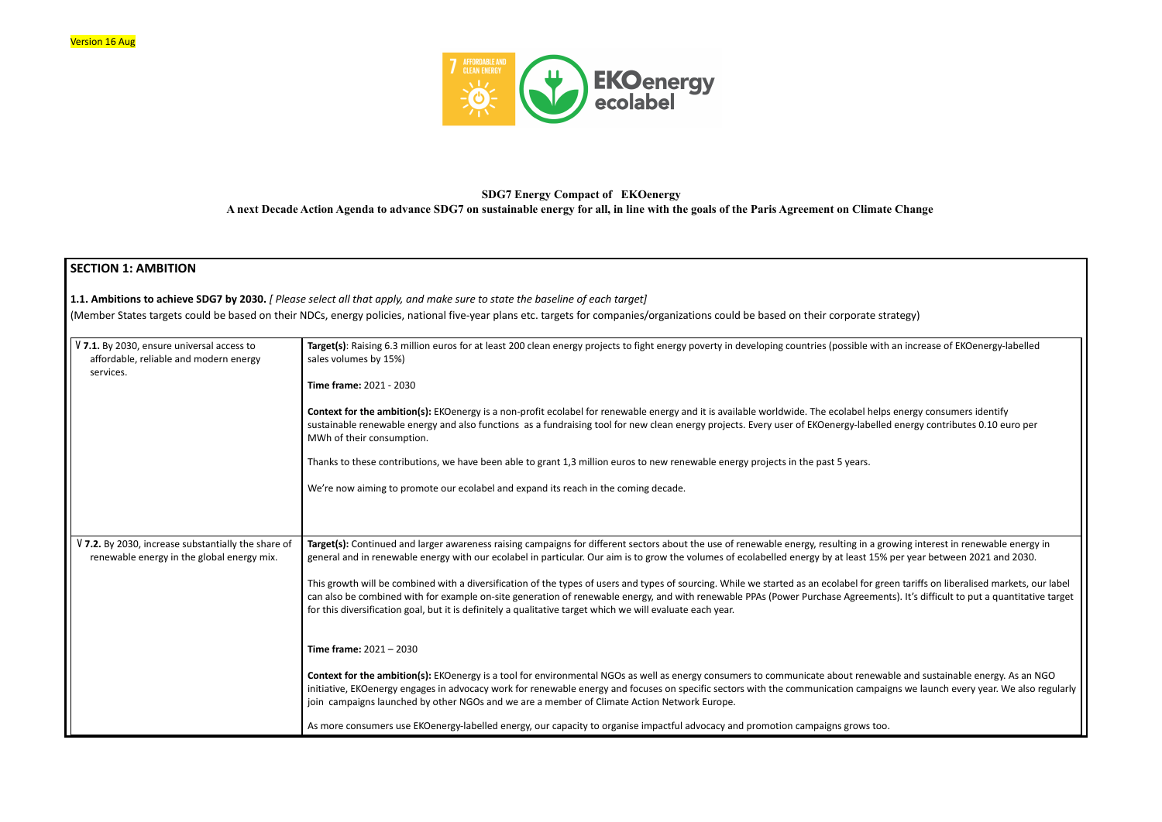

# **SDG7 Energy Compact of EKOenergy A next Decade Action Agenda to advance SDG7 on sustainable energy for all, in line with the goals of the Paris Agreement on Climate Change**

# **SECTION 1: AMBITION**

**1.1. Ambitions to achieve SDG7 by 2030.** *[ Please select all that apply, and make sure to state the baseline of each target]* (Member States targets could be based on their NDCs, energy policies, national five-year plans etc. targets for companies/organizations could be based on their corporate strategy)

> **Target(s):** Continued and larger awareness raising campaigns for different sectors about the use of renewable energy, resulting in a growing interest in renewable energy in 5% per year between 2021 and 2030.

Theis growth a diversified with a diversion of the types of the types of the types of the type and tarted as a ents). It's difficult to put a quantitative target

**Fortal** *forbebition* and sustainable energy. As an NGO initiatives in advocacers in advocations for renergy and for renergy and for renergy and for renergy and for re

| V 7.1. By 2030, ensure universal access to<br>affordable, reliable and modern energy<br>services. | Target(s): Raising 6.3 million euros for at least 200 clean energy projects to fight energy poverty in developing countries (possible with an increase of EKOenergy-labelled<br>sales volumes by 15%)                                                                                                                                                                                                                                                                  |
|---------------------------------------------------------------------------------------------------|------------------------------------------------------------------------------------------------------------------------------------------------------------------------------------------------------------------------------------------------------------------------------------------------------------------------------------------------------------------------------------------------------------------------------------------------------------------------|
|                                                                                                   | Time frame: 2021 - 2030                                                                                                                                                                                                                                                                                                                                                                                                                                                |
|                                                                                                   | Context for the ambition(s): EKOenergy is a non-profit ecolabel for renewable energy and it is available worldwide. The ecolabel helps energy consumers identify<br>sustainable renewable energy and also functions as a fundraising tool for new clean energy projects. Every user of EKOenergy-labelled energy contributes 0.10 euro per<br>MWh of their consumption.                                                                                                |
|                                                                                                   | Thanks to these contributions, we have been able to grant 1,3 million euros to new renewable energy projects in the past 5 years.                                                                                                                                                                                                                                                                                                                                      |
|                                                                                                   | We're now aiming to promote our ecolabel and expand its reach in the coming decade.                                                                                                                                                                                                                                                                                                                                                                                    |
|                                                                                                   |                                                                                                                                                                                                                                                                                                                                                                                                                                                                        |
|                                                                                                   |                                                                                                                                                                                                                                                                                                                                                                                                                                                                        |
| V 7.2. By 2030, increase substantially the share of<br>renewable energy in the global energy mix. | Target(s): Continued and larger awareness raising campaigns for different sectors about the use of renewable energy, resulting in a growing interest in renewable energy<br>general and in renewable energy with our ecolabel in particular. Our aim is to grow the volumes of ecolabelled energy by at least 15% per year between 2021 and 2030.                                                                                                                      |
|                                                                                                   | This growth will be combined with a diversification of the types of users and types of sourcing. While we started as an ecolabel for green tariffs on liberalised markets, ou<br>can also be combined with for example on-site generation of renewable energy, and with renewable PPAs (Power Purchase Agreements). It's difficult to put a quantitative<br>for this diversification goal, but it is definitely a qualitative target which we will evaluate each year. |
|                                                                                                   | Time frame: $2021 - 2030$                                                                                                                                                                                                                                                                                                                                                                                                                                              |
|                                                                                                   | Context for the ambition(s): EKOenergy is a tool for environmental NGOs as well as energy consumers to communicate about renewable and sustainable energy. As an N<br>initiative, EKOenergy engages in advocacy work for renewable energy and focuses on specific sectors with the communication campaigns we launch every year. We also r<br>join campaigns launched by other NGOs and we are a member of Climate Action Network Europe.                              |
|                                                                                                   | As more consumers use EKOenergy-labelled energy, our capacity to organise impactful advocacy and promotion campaigns grows too.                                                                                                                                                                                                                                                                                                                                        |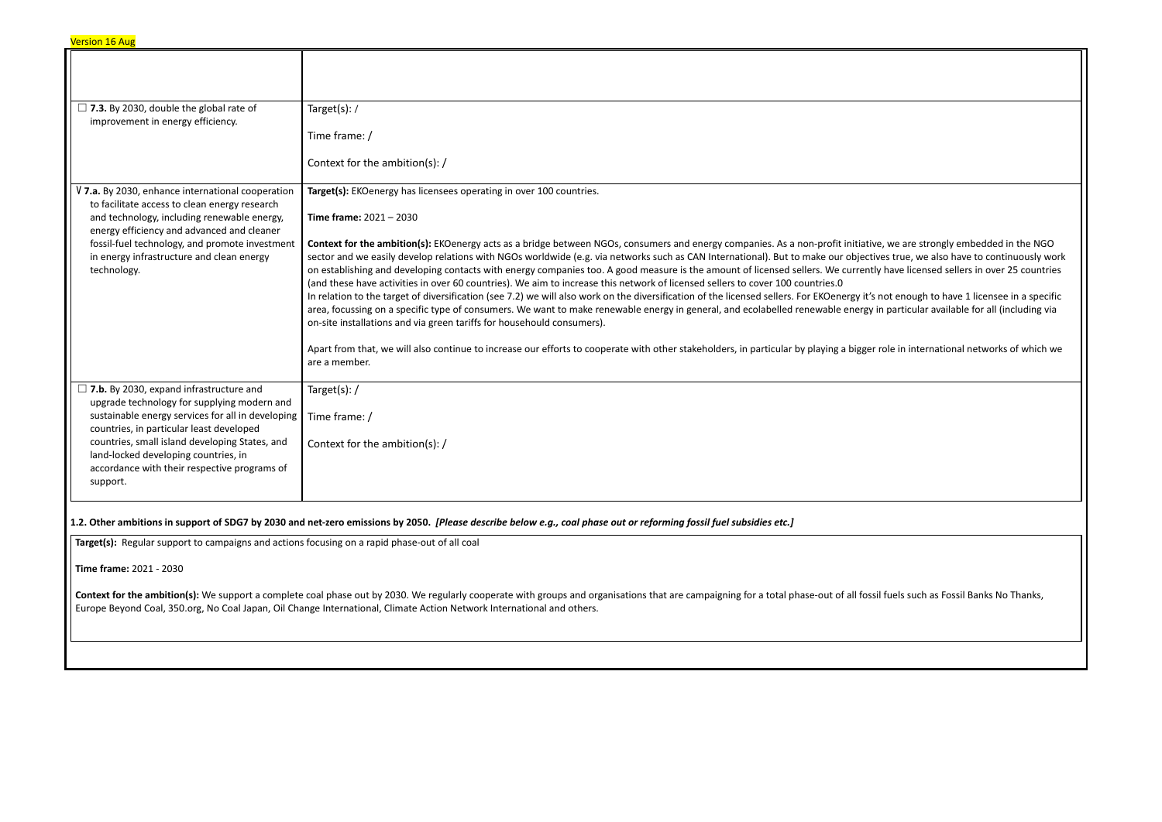| $\Box$ 7.3. By 2030, double the global rate of<br>improvement in energy efficiency.                                                                      | Target(s): /                                                                                                                                                                                                                                                                                                                                                                                                                                                                                                                                                                                                                                                                                                                                                                                                                                                                                                   |
|----------------------------------------------------------------------------------------------------------------------------------------------------------|----------------------------------------------------------------------------------------------------------------------------------------------------------------------------------------------------------------------------------------------------------------------------------------------------------------------------------------------------------------------------------------------------------------------------------------------------------------------------------------------------------------------------------------------------------------------------------------------------------------------------------------------------------------------------------------------------------------------------------------------------------------------------------------------------------------------------------------------------------------------------------------------------------------|
|                                                                                                                                                          | Time frame: /                                                                                                                                                                                                                                                                                                                                                                                                                                                                                                                                                                                                                                                                                                                                                                                                                                                                                                  |
|                                                                                                                                                          | Context for the ambition(s): /                                                                                                                                                                                                                                                                                                                                                                                                                                                                                                                                                                                                                                                                                                                                                                                                                                                                                 |
| V 7.a. By 2030, enhance international cooperation<br>to facilitate access to clean energy research                                                       | Target(s): EKOenergy has licensees operating in over 100 countries.                                                                                                                                                                                                                                                                                                                                                                                                                                                                                                                                                                                                                                                                                                                                                                                                                                            |
| and technology, including renewable energy,                                                                                                              | Time frame: $2021 - 2030$                                                                                                                                                                                                                                                                                                                                                                                                                                                                                                                                                                                                                                                                                                                                                                                                                                                                                      |
| energy efficiency and advanced and cleaner<br>fossil-fuel technology, and promote investment<br>in energy infrastructure and clean energy<br>technology. | Context for the ambition(s): EKOenergy acts as a bridge between NGOs, consumers and energy companies. As a non-profit initiative<br>sector and we easily develop relations with NGOs worldwide (e.g. via networks such as CAN International). But to make our objective<br>on establishing and developing contacts with energy companies too. A good measure is the amount of licensed sellers. We currently<br>(and these have activities in over 60 countries). We aim to increase this network of licensed sellers to cover 100 countries.0<br>In relation to the target of diversification (see 7.2) we will also work on the diversification of the licensed sellers. For EKOenergy it's n<br>area, focussing on a specific type of consumers. We want to make renewable energy in general, and ecolabelled renewable energy in<br>on-site installations and via green tariffs for househould consumers). |
|                                                                                                                                                          | Apart from that, we will also continue to increase our efforts to cooperate with other stakeholders, in particular by playing a bigger r<br>are a member.                                                                                                                                                                                                                                                                                                                                                                                                                                                                                                                                                                                                                                                                                                                                                      |
| $\Box$ 7.b. By 2030, expand infrastructure and<br>upgrade technology for supplying modern and                                                            | Target(s):/                                                                                                                                                                                                                                                                                                                                                                                                                                                                                                                                                                                                                                                                                                                                                                                                                                                                                                    |
| sustainable energy services for all in developing<br>countries, in particular least developed                                                            | Time frame: /                                                                                                                                                                                                                                                                                                                                                                                                                                                                                                                                                                                                                                                                                                                                                                                                                                                                                                  |
| countries, small island developing States, and<br>land-locked developing countries, in                                                                   | Context for the ambition(s): /                                                                                                                                                                                                                                                                                                                                                                                                                                                                                                                                                                                                                                                                                                                                                                                                                                                                                 |
| accordance with their respective programs of<br>support.                                                                                                 |                                                                                                                                                                                                                                                                                                                                                                                                                                                                                                                                                                                                                                                                                                                                                                                                                                                                                                                |
|                                                                                                                                                          | 1.2. Other ambitions in support of SDG7 by 2030 and net-zero emissions by 2050. [Please describe below e.g., coal phase out or reforming fossil fuel subsidies etc.]                                                                                                                                                                                                                                                                                                                                                                                                                                                                                                                                                                                                                                                                                                                                           |
| Target(s): Regular support to campaigns and actions focusing on a rapid phase-out of all coal                                                            |                                                                                                                                                                                                                                                                                                                                                                                                                                                                                                                                                                                                                                                                                                                                                                                                                                                                                                                |
| Time frame: 2021 - 2030                                                                                                                                  |                                                                                                                                                                                                                                                                                                                                                                                                                                                                                                                                                                                                                                                                                                                                                                                                                                                                                                                |
|                                                                                                                                                          | Context for the ambition(s): We support a complete coal phase out by 2030. We regularly cooperate with groups and organisations that are campaigning for a total phase-out of all fossil<br>Europe Beyond Coal, 350.org, No Coal Japan, Oil Change International, Climate Action Network International and others.                                                                                                                                                                                                                                                                                                                                                                                                                                                                                                                                                                                             |
|                                                                                                                                                          |                                                                                                                                                                                                                                                                                                                                                                                                                                                                                                                                                                                                                                                                                                                                                                                                                                                                                                                |

**E**, we are strongly embedded in the NGO wes true, we also have to continuously work thave licensed sellers in over 25 countries with a not enough to have 1 licensee in a specific n particular available for all (including via role in international networks of which we fuels such as Fossil Banks No Thanks,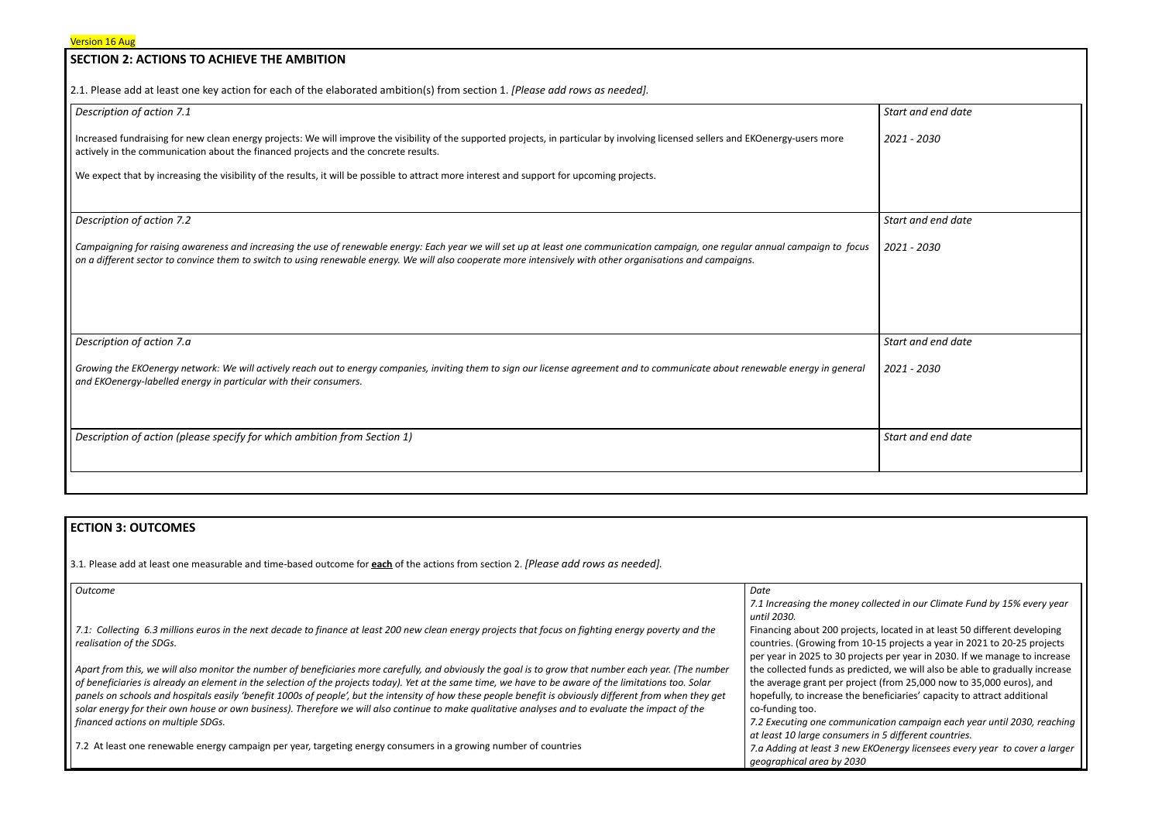## **SECTION 2: ACTIONS TO ACHIEVE THE AMBITION**

2.1. Please add at least one key action for each of the elaborated ambition(s) from section 1. *[Please add rows as needed].*

#### *Description of action 7.1*

Increased fundraising for new clean energy projects: We will improve the visibility of the supported projects, in particular by involving licensed sellers and EKOenergy-users more actively in the communication about the financed projects and the concrete results.

We expect that by increasing the visibility of the results, it will be possible to attract more interest and support for upcoming projects.

Growing the EKOenergy network: We will actively reach out to energy companies, inviting them to sign our license agreement and to communicate about renewable energy in general *and EKOenergy-labelled energy in particular with their consumers.*

*Description of action (please specify for which ambition from Section 1)* 

*Description of action 7.2*

Campaigning for raising awareness and increasing the use of renewable energy: Each year we will set up at least one communication campaign, one regular annual campaign to focus on a different sector to convince them to switch to using renewable energy. We will also cooperate more intensively with other organisations and campaigns.

| Start and end date |
|--------------------|
| 2021 - 2030        |
|                    |
|                    |
| Start and end date |
| 2021 - 2030        |
|                    |
|                    |
|                    |
| Start and end date |
| 2021 - 2030        |
|                    |
|                    |
| Start and end date |
|                    |
|                    |

*Description of action 7.a*

### **ECTION 3: OUTCOMES**

3.1*.* Please add at least one measurable and time-based outcome for **each** of the actions from section 2. *[Please add rows as needed].*

| <b>Outcome</b>                                                                                                                                            | Date                           |
|-----------------------------------------------------------------------------------------------------------------------------------------------------------|--------------------------------|
|                                                                                                                                                           | 7.1 Increasing the money coll  |
|                                                                                                                                                           | until 2030.                    |
| 7.1: Collecting 6.3 millions euros in the next decade to finance at least 200 new clean energy projects that focus on fighting energy poverty and the     | Financing about 200 projects,  |
| realisation of the SDGs.                                                                                                                                  | countries. (Growing from 10-)  |
|                                                                                                                                                           | per year in 2025 to 30 project |
| Apart from this, we will also monitor the number of beneficiaries more carefully, and obviously the goal is to grow that number each year. (The number    | the collected funds as predict |
| of beneficiaries is already an element in the selection of the projects today). Yet at the same time, we have to be aware of the limitations too. Solar   | the average grant per project  |
| panels on schools and hospitals easily 'benefit 1000s of people', but the intensity of how these people benefit is obviously different from when they get | hopefully, to increase the ber |
| solar energy for their own house or own business). Therefore we will also continue to make qualitative analyses and to evaluate the impact of the         | co-funding too.                |
| financed actions on multiple SDGs.                                                                                                                        | 7.2 Executing one communica    |
|                                                                                                                                                           | at least 10 large consumers ir |
| 7.2 At least one renewable energy campaign per year, targeting energy consumers in a growing number of countries                                          | 7.a Adding at least 3 new EKC  |
|                                                                                                                                                           | geographical area by 2030      |

*7.1 Increasing the money collected in our Climate Fund by 15% every year*

located in at least 50 different developing -15 projects a year in 2021 to 20-25 projects ts per year in 2030. If we manage to increase ted, we will also be able to gradually increase t (from 25,000 now to 35,000 euros), and neficiaries' capacity to attract additional

*7.2 Executing one communication campaign each year until 2030, reaching at least 10 large consumers in 5 different countries. 7.a Adding at least 3 new EKOenergy licensees every year to cover a larger*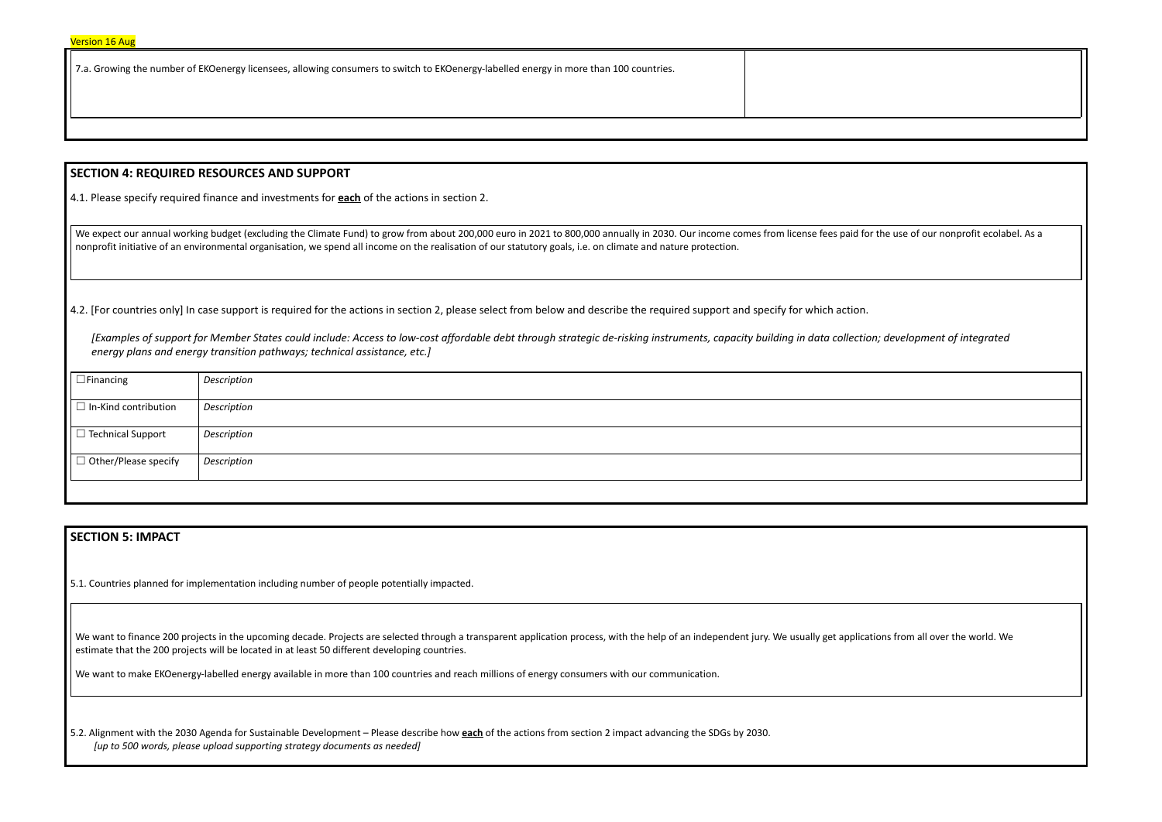7.a. Growing the number of EKOenergy licensees, allowing consumers to switch to EKOenergy-labelled energy in more than 100 countries.

### **SECTION 4: REQUIRED RESOURCES AND SUPPORT**

4.1. Please specify required finance and investments for **each** of the actions in section 2.

We expect our annual working budget (excluding the Climate Fund) to grow from about 200,000 euro in 2021 to 800,000 annually in 2030. Our income comes from license fees paid for the use of our the use of our nonprofit ecol nonprofit initiative of an environmental organisation, we spend all income on the realisation of our statutory goals, i.e. on climate and nature protection.

4.2. [For countries only] In case support is required for the actions in section 2, please select from below and describe the required support and specify for which action.

We want to finance 200 projects in the upcoming decade. Projects are selected through a transparent application process, with the help of an independent jury. We usually get applications from all over the world. We estimate that the 200 projects will be located in at least 50 different developing countries.

*[Examples of support for Member States could include: Access to low-cost affordable debt through strategic de-risking instruments, capacity building in data collection; development of integrated energy plans and energy transition pathways; technical assistance, etc.]*

|  | $\Box$ Financing            | Description |
|--|-----------------------------|-------------|
|  | $\Box$ In-Kind contribution | Description |
|  | □ Technical Support         | Description |
|  | $\Box$ Other/Please specify | Description |
|  |                             |             |

## **SECTION 5: IMPACT**

5.1. Countries planned for implementation including number of people potentially impacted.

We want to make EKOenergy-labelled energy available in more than 100 countries and reach millions of energy consumers with our communication.

5.2. Alignment with the 2030 Agenda for Sustainable Development – Please describe how **each** of the actions from section 2 impact advancing the SDGs by 2030. *[up to 500 words, please upload supporting strategy documents as needed]*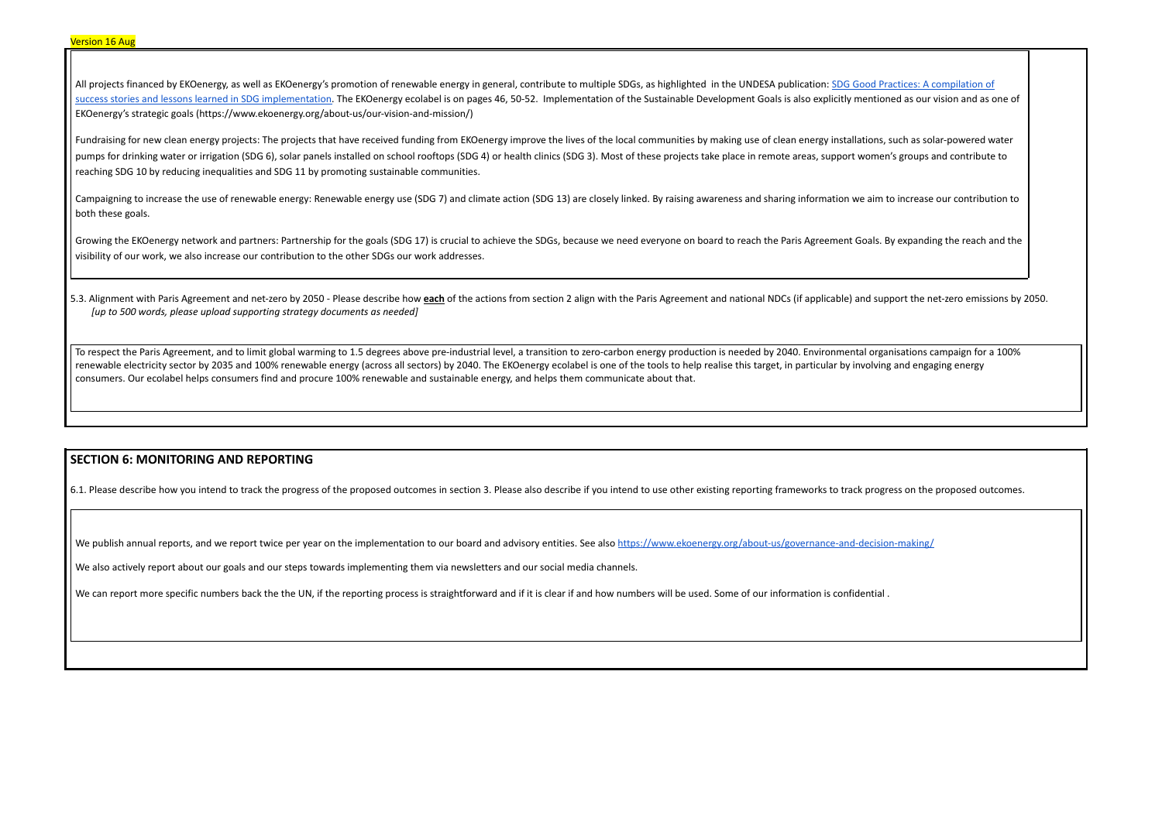All projects financed by EKOenergy, as well as EKOenergy's promotion of renewable energy in general, contribute to multiple SDGs, as highlighted in the UNDESA publication: SDG Good Practices: A [compilation](https://sdgs.un.org/sites/default/files/2020-11/SDG%20Good%20Practices%20Publication%202020.pdf) of success stories and lessons learned in SDG [implementation.](https://sdgs.un.org/sites/default/files/2020-11/SDG%20Good%20Practices%20Publication%202020.pdf) The EKOenergy ecolabel is on pages 46, 50-52. Implementation of the Sustainable Development Goals is also explicitly mentioned as our vision and as one of EKOenergy's strategic goals (https://www.ekoenergy.org/about-us/our-vision-and-mission/)

Fundraising for new clean energy projects: The projects that have received funding from EKOenergy improve the lives of the local communities by making use of clean energy installations, such as solar-powered water pumps for drinking water or irrigation (SDG 6), solar panels installed on school rooftops (SDG 4) or health clinics (SDG 3). Most of these projects take place in remote areas, support women's groups and contribute to reaching SDG 10 by reducing inequalities and SDG 11 by promoting sustainable communities.

5.3. Alignment with Paris Agreement and net-zero by 2050 - Please describe how each of the actions from section 2 align with the Paris Agreement and national NDCs (if applicable) and support the net-zero emissions by 2050. *[up to 500 words, please upload supporting strategy documents as needed]*

Campaigning to increase the use of renewable energy: Renewable energy use (SDG 7) and climate action (SDG 13) are closely linked. By raising awareness and sharing information we aim to increase our contribution to both these goals.

Growing the EKOenergy network and partners: Partnership for the goals (SDG 17) is crucial to achieve the SDGs, because we need everyone on board to reach the Paris Agreement Goals. By expanding the reach and the visibility of our work, we also increase our contribution to the other SDGs our work addresses.

To respect the Paris Agreement, and to limit global warming to 1.5 degrees above pre-industrial level, a transition to zero-carbon energy production is needed by 2040. Environmental organisations campaign for a 100% renewable electricity sector by 2035 and 100% renewable energy (across all sectors) by 2040. The EKOenergy ecolabel is one of the tools to help realise this target, in particular by involving and engaging energy consumers. Our ecolabel helps consumers find and procure 100% renewable and sustainable energy, and helps them communicate about that.

## **SECTION 6: MONITORING AND REPORTING**

6.1. Please describe how you intend to track the progress of the proposed outcomes in section 3. Please also describe if you intend to use other existing reporting frameworks to track progress on the proposed outcomes.

We publish annual reports, and we report twice per year on the implementation to our board and advisory entities. See also <https://www.ekoenergy.org/about-us/governance-and-decision-making/>

We also actively report about our goals and our steps towards implementing them via newsletters and our social media channels.

We can report more specific numbers back the the UN, if the reporting process is straightforward and if it is clear if and how numbers will be used. Some of our information is confidential .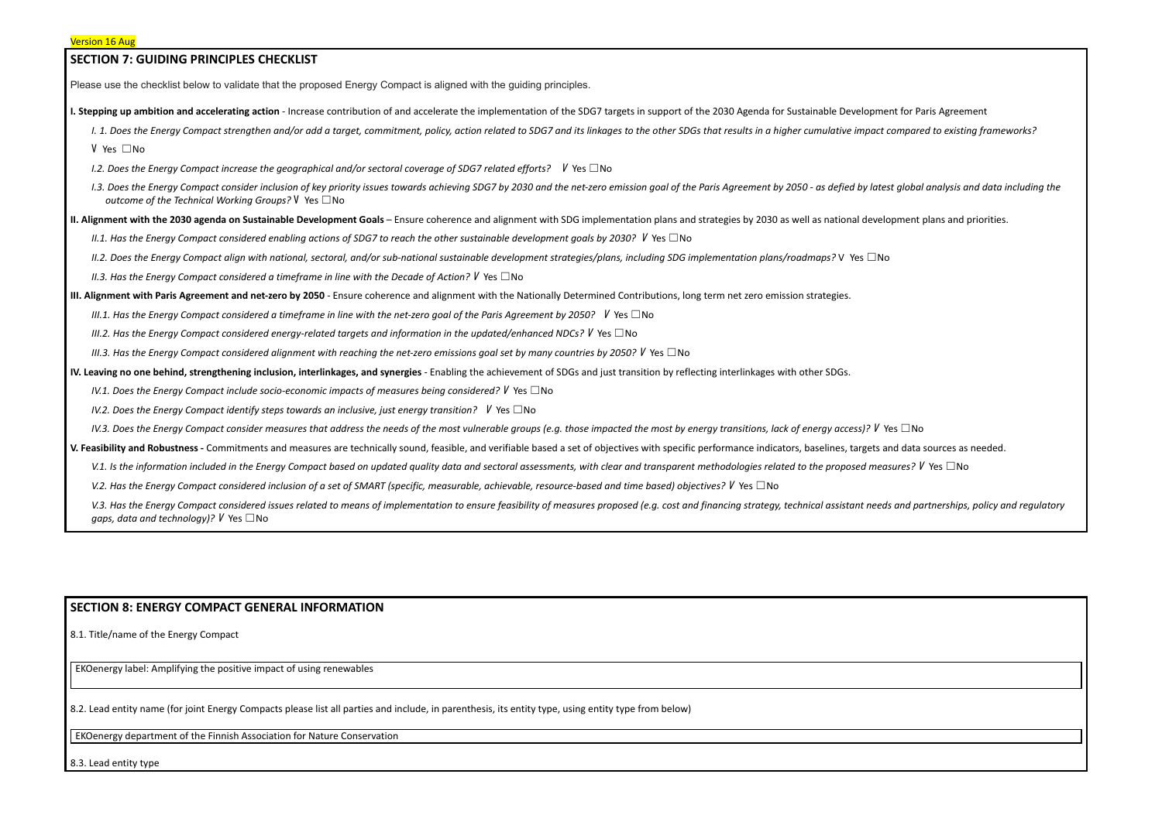| <b>SECTION 7: GUIDING PRINCIPLES CHECKLIST</b>                                                                                                                                                                                                                               |  |
|------------------------------------------------------------------------------------------------------------------------------------------------------------------------------------------------------------------------------------------------------------------------------|--|
| Please use the checklist below to validate that the proposed Energy Compact is aligned with the guiding principles.                                                                                                                                                          |  |
| I. Stepping up ambition and accelerating action - Increase contribution of and accelerate the implementation of the SDG7 targets in support of the 2030 Agenda for Sustainable Development for Paris Agreem                                                                  |  |
| I. 1. Does the Energy Compact strengthen and/or add a target, commitment, policy, action related to SDG7 and its linkages to the other SDGs that results in a higher cumulative impact compared to existir                                                                   |  |
| V Yes □No                                                                                                                                                                                                                                                                    |  |
| 1.2. Does the Energy Compact increase the geographical and/or sectoral coverage of SDG7 related efforts? $V$ Yes $\square$ No                                                                                                                                                |  |
| I.3. Does the Energy Compact consider inclusion of key priority issues towards achieving SDG7 by 2030 and the net-zero emission goal of the Paris Agreement by 2050 - as defied by latest global analysis a<br>outcome of the Technical Working Groups? $V$ Yes $\square$ No |  |
| II. Alignment with the 2030 agenda on Sustainable Development Goals – Ensure coherence and alignment with SDG implementation plans and strategies by 2030 as well as national development plans and g                                                                        |  |
| II.1. Has the Energy Compact considered enabling actions of SDG7 to reach the other sustainable development goals by 2030? $V$ Yes $\Box$ No                                                                                                                                 |  |
| II.2. Does the Energy Compact align with national, sectoral, and/or sub-national sustainable development strategies/plans, including SDG implementation plans/roadmaps? V Yes $\Box$ No                                                                                      |  |
| II.3. Has the Energy Compact considered a timeframe in line with the Decade of Action? $V$ Yes $\Box$ No                                                                                                                                                                     |  |
| III. Alignment with Paris Agreement and net-zero by 2050 - Ensure coherence and alignment with the Nationally Determined Contributions, long term net zero emission strategies.                                                                                              |  |
| III.1. Has the Energy Compact considered a timeframe in line with the net-zero goal of the Paris Agreement by 2050? $V$ Yes $\square$ No                                                                                                                                     |  |
| III.2. Has the Energy Compact considered energy-related targets and information in the updated/enhanced NDCs? $V$ Yes $\Box$ No                                                                                                                                              |  |
| III.3. Has the Energy Compact considered alignment with reaching the net-zero emissions goal set by many countries by 2050? V Yes $\Box$ No                                                                                                                                  |  |
| IV. Leaving no one behind, strengthening inclusion, interlinkages, and synergies - Enabling the achievement of SDGs and just transition by reflecting interlinkages with other SDGs.                                                                                         |  |
| IV.1. Does the Energy Compact include socio-economic impacts of measures being considered? $V$ Yes $\Box$ No                                                                                                                                                                 |  |
| IV.2. Does the Energy Compact identify steps towards an inclusive, just energy transition? $V$ Yes $\square$ No                                                                                                                                                              |  |
| IV.3. Does the Energy Compact consider measures that address the needs of the most vulnerable groups (e.g. those impacted the most by energy transitions, lack of energy access)? $V$ Yes $\Box$ No                                                                          |  |
| V. Feasibility and Robustness - Commitments and measures are technically sound, feasible, and verifiable based a set of objectives with specific performance indicators, baselines, targets and data sources as                                                              |  |
| V.1. Is the information included in the Energy Compact based on updated quality data and sectoral assessments, with clear and transparent methodologies related to the proposed measures? $V$ Yes $\Box$ No                                                                  |  |
| V.2. Has the Energy Compact considered inclusion of a set of SMART (specific, measurable, achievable, resource-based and time based) objectives? V Yes □No                                                                                                                   |  |
| V.3. Has the Energy Compact considered issues related to means of implementation to ensure feasibility of measures proposed (e.g. cost and financing strategy, technical assistant needs and partnerships,<br>gaps, data and technology)? $V$ Yes $\square$ No               |  |

# **SECTION 8: ENERGY COMPACT GENERAL INFORMATION**

8.1. Title/name of the Energy Compact

EKOenergy label: Amplifying the positive impact of using renewables

8.2. Lead entity name (for joint Energy Compacts please list all parties and include, in parenthesis, its entity type, using entity type from below)

EKOenergy department of the Finnish Association for Nature Conservation

8.3. Lead entity type

ent for Paris Agreement t compared to existing frameworks?

est global analysis and data including the

lopment plans and priorities.

and data sources as needed.

ds and partnerships, policy and regulatory

| <u> 1989 - Johann Barnett, fransk politiker (d. 1989)</u> |  |  |
|-----------------------------------------------------------|--|--|
|                                                           |  |  |
|                                                           |  |  |
|                                                           |  |  |
|                                                           |  |  |
|                                                           |  |  |
|                                                           |  |  |
|                                                           |  |  |
|                                                           |  |  |
|                                                           |  |  |
|                                                           |  |  |
|                                                           |  |  |
|                                                           |  |  |
|                                                           |  |  |
|                                                           |  |  |
|                                                           |  |  |
|                                                           |  |  |
|                                                           |  |  |
|                                                           |  |  |
|                                                           |  |  |
|                                                           |  |  |
|                                                           |  |  |
|                                                           |  |  |